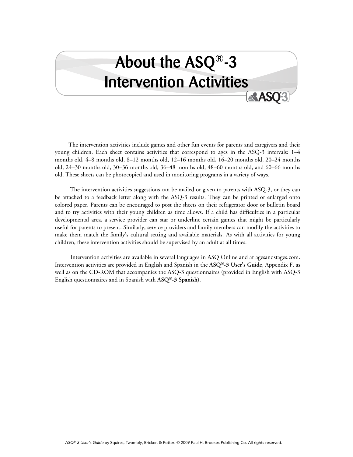# About the ASQ®-3 **Intervention Activities**

 The intervention activities include games and other fun events for parents and caregivers and their young children. Each sheet contains activities that correspond to ages in the ASQ-3 intervals: 1–4 months old, 4–8 months old, 8–12 months old, 12–16 months old, 16–20 months old, 20–24 months old, 24–30 months old, 30–36 months old, 36–48 months old, 48–60 months old, and 60–66 months old. These sheets can be photocopied and used in monitoring programs in a variety of ways.

 The intervention activities suggestions can be mailed or given to parents with ASQ-3, or they can be attached to a feedback letter along with the ASQ-3 results. They can be printed or enlarged onto colored paper. Parents can be encouraged to post the sheets on their refrigerator door or bulletin board and to try activities with their young children as time allows. If a child has difficulties in a particular developmental area, a service provider can star or underline certain games that might be particularly useful for parents to present. Similarly, service providers and family members can modify the activities to make them match the family's cultural setting and available materials. As with all activities for young children, these intervention activities should be supervised by an adult at all times.

 Intervention activities are available in several languages in ASQ Online and at agesandstages.com. Intervention activities are provided in English and Spanish in the **ASQ®-3 User's Guide**, Appendix F, as well as on the CD-ROM that accompanies the ASQ-3 questionnaires (provided in English with ASQ-3 English questionnaires and in Spanish with **ASQ®-3 Spanish**).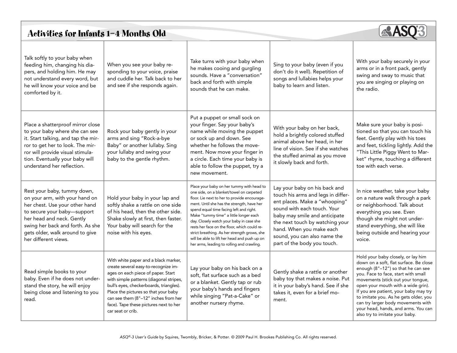# Activities for Infants 1—4 Months Old



| Talk softly to your baby when<br>feeding him, changing his dia-<br>pers, and holding him. He may<br>not understand every word, but<br>he will know your voice and be<br>comforted by it.                                                                   | When you see your baby re-<br>sponding to your voice, praise<br>and cuddle her. Talk back to her<br>and see if she responds again.                                                                                                                                                                                                                      | Take turns with your baby when<br>he makes cooing and gurgling<br>sounds. Have a "conversation"<br>back and forth with simple<br>sounds that he can make.                                                                                                                                                                                                                                                                                                                                                          | Sing to your baby (even if you<br>don't do it well). Repetition of<br>songs and lullabies helps your<br>baby to learn and listen.                                                                                                                                                                  | With your baby securely in your<br>arms or in a front pack, gently<br>swing and sway to music that<br>you are singing or playing on<br>the radio.                                                                                                                                                                                                                                                                                     |
|------------------------------------------------------------------------------------------------------------------------------------------------------------------------------------------------------------------------------------------------------------|---------------------------------------------------------------------------------------------------------------------------------------------------------------------------------------------------------------------------------------------------------------------------------------------------------------------------------------------------------|--------------------------------------------------------------------------------------------------------------------------------------------------------------------------------------------------------------------------------------------------------------------------------------------------------------------------------------------------------------------------------------------------------------------------------------------------------------------------------------------------------------------|----------------------------------------------------------------------------------------------------------------------------------------------------------------------------------------------------------------------------------------------------------------------------------------------------|---------------------------------------------------------------------------------------------------------------------------------------------------------------------------------------------------------------------------------------------------------------------------------------------------------------------------------------------------------------------------------------------------------------------------------------|
| Place a shatterproof mirror close<br>to your baby where she can see<br>it. Start talking, and tap the mir-<br>ror to get her to look. The mir-<br>ror will provide visual stimula-<br>tion. Eventually your baby will<br>understand her reflection.        | Rock your baby gently in your<br>arms and sing "Rock-a-bye<br>Baby" or another lullaby. Sing<br>your lullaby and swing your<br>baby to the gentle rhythm.                                                                                                                                                                                               | Put a puppet or small sock on<br>your finger. Say your baby's<br>name while moving the puppet<br>or sock up and down. See<br>whether he follows the move-<br>ment. Now move your finger in<br>a circle. Each time your baby is<br>able to follow the puppet, try a<br>new movement.                                                                                                                                                                                                                                | With your baby on her back,<br>hold a brightly colored stuffed<br>animal above her head, in her<br>line of vision. See if she watches<br>the stuffed animal as you move<br>it slowly back and forth.                                                                                               | Make sure your baby is posi-<br>tioned so that you can touch his<br>feet. Gently play with his toes<br>and feet, tickling lightly. Add the<br>"This Little Piggy Went to Mar-<br>ket" rhyme, touching a different<br>toe with each verse.                                                                                                                                                                                             |
| Rest your baby, tummy down,<br>on your arm, with your hand on<br>her chest. Use your other hand<br>to secure your baby-support<br>her head and neck. Gently<br>swing her back and forth. As she<br>gets older, walk around to give<br>her different views. | Hold your baby in your lap and<br>softly shake a rattle on one side<br>of his head, then the other side.<br>Shake slowly at first, then faster.<br>Your baby will search for the<br>noise with his eyes.                                                                                                                                                | Place your baby on her tummy with head to<br>one side, on a blanket/towel on carpeted<br>floor. Lie next to her to provide encourage-<br>ment. Until she has the strength, have her<br>spend equal time facing left and right.<br>Make "tummy time" a little longer each<br>day. Closely watch your baby in case she<br>rests her face on the floor, which could re-<br>strict breathing. As her strength grows, she<br>will be able to lift her head and push up on<br>her arms, leading to rolling and crawling. | Lay your baby on his back and<br>touch his arms and legs in differ-<br>ent places. Make a "whooping"<br>sound with each touch. Your<br>baby may smile and anticipate<br>the next touch by watching your<br>hand. When you make each<br>sound, you can also name the<br>part of the body you touch. | In nice weather, take your baby<br>on a nature walk through a park<br>or neighborhood. Talk about<br>everything you see. Even<br>though she might not under-<br>stand everything, she will like<br>being outside and hearing your<br>voice.                                                                                                                                                                                           |
| Read simple books to your<br>baby. Even if he does not under-<br>stand the story, he will enjoy<br>being close and listening to you<br>read.                                                                                                               | With white paper and a black marker,<br>create several easy-to-recognize im-<br>ages on each piece of paper. Start<br>with simple patterns (diagonal stripes,<br>bull's eyes, checkerboards, triangles).<br>Place the pictures so that your baby<br>can see them (8"-12" inches from her<br>face). Tape these pictures next to her<br>car seat or crib. | Lay your baby on his back on a<br>soft, flat surface such as a bed<br>or a blanket. Gently tap or rub<br>your baby's hands and fingers<br>while singing "Pat-a-Cake" or<br>another nursery rhyme.                                                                                                                                                                                                                                                                                                                  | Gently shake a rattle or another<br>baby toy that makes a noise. Put<br>it in your baby's hand. See if she<br>takes it, even for a brief mo-<br>ment.                                                                                                                                              | Hold your baby closely, or lay him<br>down on a soft, flat surface. Be close<br>enough (8"-12") so that he can see<br>you. Face to face, start with small<br>movements (stick out your tongue,<br>open your mouth with a wide grin).<br>If you are patient, your baby may try<br>to imitate you. As he gets older, you<br>can try larger body movements with<br>your head, hands, and arms. You can<br>also try to imitate your baby. |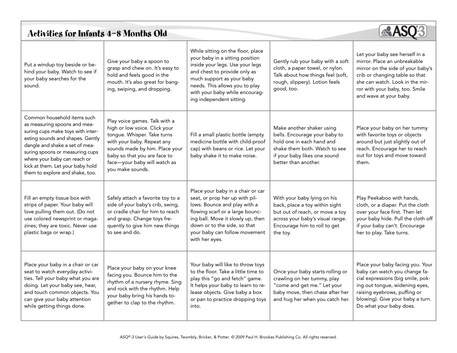# Activities for Infants 4—8 Months Old



| Put a windup toy beside or be-<br>hind your baby. Watch to see if<br>your baby searches for the<br>sound.                                                                                                                                                                                                        | Give your baby a spoon to<br>grasp and chew on. It's easy to<br>hold and feels good in the<br>mouth. It's also great for bang-<br>ing, swiping, and dropping.                                                                                     | While sitting on the floor, place<br>your baby in a sitting position<br>inside your legs. Use your legs<br>and chest to provide only as<br>much support as your baby<br>needs. This allows you to play<br>with your baby while encourag-<br>ing independent sitting. | Gently rub your baby with a soft<br>cloth, a paper towel, or nylon.<br>Talk about how things feel (soft,<br>rough, slippery). Lotion feels<br>good, too.                         | Let your baby see herself in a<br>mirror. Place an unbreakable<br>mirror on the side of your baby's<br>crib or changing table so that<br>she can watch. Look in the mir-<br>ror with your baby, too. Smile<br>and wave at your baby.    |
|------------------------------------------------------------------------------------------------------------------------------------------------------------------------------------------------------------------------------------------------------------------------------------------------------------------|---------------------------------------------------------------------------------------------------------------------------------------------------------------------------------------------------------------------------------------------------|----------------------------------------------------------------------------------------------------------------------------------------------------------------------------------------------------------------------------------------------------------------------|----------------------------------------------------------------------------------------------------------------------------------------------------------------------------------|-----------------------------------------------------------------------------------------------------------------------------------------------------------------------------------------------------------------------------------------|
| Common household items such<br>as measuring spoons and mea-<br>suring cups make toys with inter-<br>esting sounds and shapes. Gently<br>dangle and shake a set of mea-<br>suring spoons or measuring cups<br>where your baby can reach or<br>kick at them. Let your baby hold<br>them to explore and shake, too. | Play voice games. Talk with a<br>high or low voice. Click your<br>tongue. Whisper. Take turns<br>with your baby. Repeat any<br>sounds made by him. Place your<br>baby so that you are face to<br>face-your baby will watch as<br>you make sounds. | Fill a small plastic bottle (empty<br>medicine bottle with child-proof<br>cap) with beans or rice. Let your<br>baby shake it to make noise.                                                                                                                          | Make another shaker using<br>bells. Encourage your baby to<br>hold one in each hand and<br>shake them both. Watch to see<br>if your baby likes one sound<br>better than another. | Place your baby on her tummy<br>with favorite toys or objects<br>around but just slightly out of<br>reach. Encourage her to reach<br>out for toys and move toward<br>them.                                                              |
| Fill an empty tissue box with<br>strips of paper. Your baby will<br>love pulling them out. (Do not<br>use colored newsprint or maga-<br>zines; they are toxic. Never use<br>plastic bags or wrap.)                                                                                                               | Safely attach a favorite toy to a<br>side of your baby's crib, swing,<br>or cradle chair for him to reach<br>and grasp. Change toys fre-<br>quently to give him new things<br>to see and do.                                                      | Place your baby in a chair or car<br>seat, or prop her up with pil-<br>lows. Bounce and play with a<br>flowing scarf or a large bounc-<br>ing ball. Move it slowly up, then<br>down or to the side, so that<br>your baby can follow movement<br>with her eyes.       | With your baby lying on his<br>back, place a toy within sight<br>but out of reach, or move a toy<br>across your baby's visual range.<br>Encourage him to roll to get<br>the toy. | Play Peekaboo with hands,<br>cloth, or a diaper. Put the cloth<br>over your face first. Then let<br>your baby hide. Pull the cloth off<br>if your baby can't. Encourage<br>her to play. Take turns.                                     |
| Place your baby in a chair or car<br>seat to watch everyday activi-<br>ties. Tell your baby what you are<br>doing. Let your baby see, hear,<br>and touch common objects. You<br>can give your baby attention<br>while getting things done.                                                                       | Place your baby on your knee<br>facing you. Bounce him to the<br>rhythm of a nursery rhyme. Sing<br>and rock with the rhythm. Help<br>your baby bring his hands to-<br>gether to clap to the rhythm.                                              | Your baby will like to throw toys<br>to the floor. Take a little time to<br>play this "go and fetch" game.<br>It helps your baby to learn to re-<br>lease objects. Give baby a box<br>or pan to practice dropping toys<br>into.                                      | Once your baby starts rolling or<br>crawling on her tummy, play<br>"come and get me." Let your<br>baby move, then chase after her<br>and hug her when you catch her.             | Place your baby facing you. Your<br>baby can watch you change fa-<br>cial expressions (big smile, pok-<br>ing out tongue, widening eyes,<br>raising eyebrows, puffing or<br>blowing). Give your baby a turn.<br>Do what your baby does. |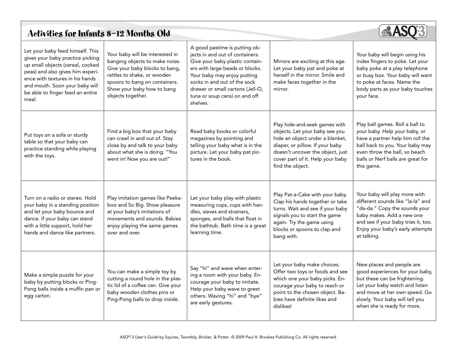# Activities for Infants 8—12 Months Old



| Let your baby feed himself. This<br>gives your baby practice picking<br>up small objects (cereal, cooked<br>peas) and also gives him experi-<br>ence with textures in his hands<br>and mouth. Soon your baby will<br>be able to finger feed an entire<br>meal. | Your baby will be interested in<br>banging objects to make noise.<br>Give your baby blocks to bang,<br>rattles to shake, or wooden<br>spoons to bang on containers.<br>Show your baby how to bang<br>objects together. | A good pastime is putting ob-<br>jects in and out of containers.<br>Give your baby plastic contain-<br>ers with large beads or blocks.<br>Your baby may enjoy putting<br>socks in and out of the sock<br>drawer or small cartons (Jell-O,<br>tuna or soup cans) on and off<br>shelves. | Mirrors are exciting at this age.<br>Let your baby pat and poke at<br>herself in the mirror. Smile and<br>make faces together in the<br>mirror.                                                                                   | Your baby will begin using his<br>index fingers to poke. Let your<br>baby poke at a play telephone<br>or busy box. Your baby will want<br>to poke at faces. Name the<br>body parts as your baby touches<br>your face.              |
|----------------------------------------------------------------------------------------------------------------------------------------------------------------------------------------------------------------------------------------------------------------|------------------------------------------------------------------------------------------------------------------------------------------------------------------------------------------------------------------------|----------------------------------------------------------------------------------------------------------------------------------------------------------------------------------------------------------------------------------------------------------------------------------------|-----------------------------------------------------------------------------------------------------------------------------------------------------------------------------------------------------------------------------------|------------------------------------------------------------------------------------------------------------------------------------------------------------------------------------------------------------------------------------|
| Put toys on a sofa or sturdy<br>table so that your baby can<br>practice standing while playing<br>with the toys.                                                                                                                                               | Find a big box that your baby<br>can crawl in and out of. Stay<br>close by and talk to your baby<br>about what she is doing. "You<br>went in! Now you are out!"                                                        | Read baby books or colorful<br>magazines by pointing and<br>telling your baby what is in the<br>picture. Let your baby pat pic-<br>tures in the book.                                                                                                                                  | Play hide-and-seek games with<br>objects. Let your baby see you<br>hide an object under a blanket,<br>diaper, or pillow. If your baby<br>doesn't uncover the object, just<br>cover part of it. Help your baby<br>find the object. | Play ball games. Roll a ball to<br>your baby. Help your baby, or<br>have a partner help him roll the<br>ball back to you. Your baby may<br>even throw the ball, so beach<br>balls or Nerf balls are great for<br>this game.        |
| Turn on a radio or stereo. Hold<br>your baby in a standing position<br>and let your baby bounce and<br>dance. If your baby can stand<br>with a little support, hold her<br>hands and dance like partners.                                                      | Play imitation games like Peeka-<br>boo and So Big. Show pleasure<br>at your baby's imitations of<br>movements and sounds. Babies<br>enjoy playing the same games<br>over and over.                                    | Let your baby play with plastic<br>measuring cups, cups with han-<br>dles, sieves and strainers,<br>sponges, and balls that float in<br>the bathtub. Bath time is a great<br>learning time.                                                                                            | Play Pat-a-Cake with your baby.<br>Clap his hands together or take<br>turns. Wait and see if your baby<br>signals you to start the game<br>again. Try the game using<br>blocks or spoons to clap and<br>bang with.                | Your baby will play more with<br>different sounds like "la-la" and<br>"da-da." Copy the sounds your<br>baby makes. Add a new one<br>and see if your baby tries it, too.<br>Enjoy your baby's early attempts<br>at talking.         |
| Make a simple puzzle for your<br>baby by putting blocks or Ping-<br>Pong balls inside a muffin pan or<br>egg carton.                                                                                                                                           | You can make a simple toy by<br>cutting a round hole in the plas-<br>tic lid of a coffee can. Give your<br>baby wooden clothes pins or<br>Ping-Pong balls to drop inside.                                              | Say "hi" and wave when enter-<br>ing a room with your baby. En-<br>courage your baby to imitate.<br>Help your baby wave to greet<br>others. Waving "hi" and "bye"<br>are early gestures.                                                                                               | Let your baby make choices.<br>Offer two toys or foods and see<br>which one your baby picks. En-<br>courage your baby to reach or<br>point to the chosen object. Ba-<br>bies have definite likes and<br>dislikes!                 | New places and people are<br>good experiences for your baby,<br>but these can be frightening.<br>Let your baby watch and listen<br>and move at her own speed. Go<br>slowly. Your baby will tell you<br>when she is ready for more. |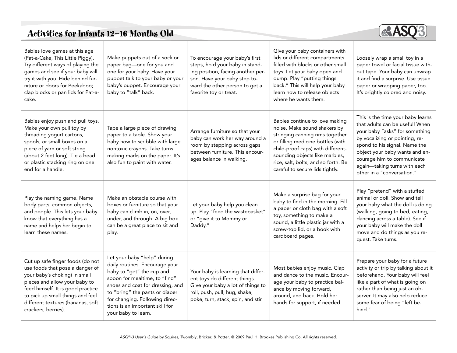# Activities for Infants 12—16 Months Old



| Babies love games at this age<br>(Pat-a-Cake, This Little Piggy).<br>Try different ways of playing the<br>games and see if your baby will<br>try it with you. Hide behind fur-<br>niture or doors for Peekaboo;<br>clap blocks or pan lids for Pat-a-<br>cake.             | Make puppets out of a sock or<br>paper bag-one for you and<br>one for your baby. Have your<br>puppet talk to your baby or your<br>baby's puppet. Encourage your<br>baby to "talk" back.                                                                                                       | To encourage your baby's first<br>steps, hold your baby in stand-<br>ing position, facing another per-<br>son. Have your baby step to-<br>ward the other person to get a<br>favorite toy or treat. | Give your baby containers with<br>lids or different compartments<br>filled with blocks or other small<br>toys. Let your baby open and<br>dump. Play "putting things<br>back." This will help your baby<br>learn how to release objects<br>where he wants them.                          | Loosely wrap a small toy in a<br>paper towel or facial tissue with-<br>out tape. Your baby can unwrap<br>it and find a surprise. Use tissue<br>paper or wrapping paper, too.<br>It's brightly colored and noisy.                                                                                        |
|----------------------------------------------------------------------------------------------------------------------------------------------------------------------------------------------------------------------------------------------------------------------------|-----------------------------------------------------------------------------------------------------------------------------------------------------------------------------------------------------------------------------------------------------------------------------------------------|----------------------------------------------------------------------------------------------------------------------------------------------------------------------------------------------------|-----------------------------------------------------------------------------------------------------------------------------------------------------------------------------------------------------------------------------------------------------------------------------------------|---------------------------------------------------------------------------------------------------------------------------------------------------------------------------------------------------------------------------------------------------------------------------------------------------------|
| Babies enjoy push and pull toys.<br>Make your own pull toy by<br>threading yogurt cartons,<br>spools, or small boxes on a<br>piece of yarn or soft string<br>(about 2 feet long). Tie a bead<br>or plastic stacking ring on one<br>end for a handle.                       | Tape a large piece of drawing<br>paper to a table. Show your<br>baby how to scribble with large<br>nontoxic crayons. Take turns<br>making marks on the paper. It's<br>also fun to paint with water.                                                                                           | Arrange furniture so that your<br>baby can work her way around a<br>room by stepping across gaps<br>between furniture. This encour-<br>ages balance in walking.                                    | Babies continue to love making<br>noise. Make sound shakers by<br>stringing canning rims together<br>or filling medicine bottles (with<br>child-proof caps) with different-<br>sounding objects like marbles,<br>rice, salt, bolts, and so forth. Be<br>careful to secure lids tightly. | This is the time your baby learns<br>that adults can be useful! When<br>your baby "asks" for something<br>by vocalizing or pointing, re-<br>spond to his signal. Name the<br>object your baby wants and en-<br>courage him to communicate<br>again-taking turns with each<br>other in a "conversation." |
| Play the naming game. Name<br>body parts, common objects,<br>and people. This lets your baby<br>know that everything has a<br>name and helps her begin to<br>learn these names.                                                                                            | Make an obstacle course with<br>boxes or furniture so that your<br>baby can climb in, on, over,<br>under, and through. A big box<br>can be a great place to sit and<br>play.                                                                                                                  | Let your baby help you clean<br>up. Play "feed the wastebasket"<br>or "give it to Mommy or<br>Daddy."                                                                                              | Make a surprise bag for your<br>baby to find in the morning. Fill<br>a paper or cloth bag with a soft<br>toy, something to make a<br>sound, a little plastic jar with a<br>screw-top lid, or a book with<br>cardboard pages.                                                            | Play "pretend" with a stuffed<br>animal or doll. Show and tell<br>your baby what the doll is doing<br>(walking, going to bed, eating,<br>dancing across a table). See if<br>your baby will make the doll<br>move and do things as you re-<br>quest. Take turns.                                         |
| Cut up safe finger foods (do not<br>use foods that pose a danger of<br>your baby's choking) in small<br>pieces and allow your baby to<br>feed himself. It is good practice<br>to pick up small things and feel<br>different textures (bananas, soft<br>crackers, berries). | Let your baby "help" during<br>daily routines. Encourage your<br>baby to "get" the cup and<br>spoon for mealtime, to "find"<br>shoes and coat for dressing, and<br>to "bring" the pants or diaper<br>for changing. Following direc-<br>tions is an important skill for<br>your baby to learn. | Your baby is learning that differ-<br>ent toys do different things.<br>Give your baby a lot of things to<br>roll, push, pull, hug, shake,<br>poke, turn, stack, spin, and stir.                    | Most babies enjoy music. Clap<br>and dance to the music. Encour-<br>age your baby to practice bal-<br>ance by moving forward,<br>around, and back. Hold her<br>hands for support, if needed.                                                                                            | Prepare your baby for a future<br>activity or trip by talking about it<br>beforehand. Your baby will feel<br>like a part of what is going on<br>rather than being just an ob-<br>server. It may also help reduce<br>some fear of being "left be-<br>hind."                                              |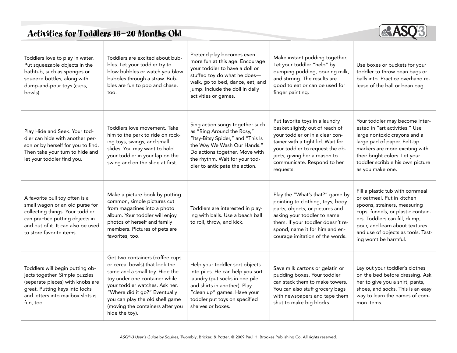### Activities for Toddlers 16—20 Months Old



| Toddlers love to play in water.<br>Put squeezable objects in the<br>bathtub, such as sponges or<br>squeeze bottles, along with<br>dump-and-pour toys (cups,<br>bowls).                                    | Toddlers are excited about bub-<br>bles. Let your toddler try to<br>blow bubbles or watch you blow<br>bubbles through a straw. Bub-<br>bles are fun to pop and chase,<br>too.                                                                                                                    | Pretend play becomes even<br>more fun at this age. Encourage<br>your toddler to have a doll or<br>stuffed toy do what he does-<br>walk, go to bed, dance, eat, and<br>jump. Include the doll in daily<br>activities or games.           | Make instant pudding together.<br>Let your toddler "help" by<br>dumping pudding, pouring milk,<br>and stirring. The results are<br>good to eat or can be used for<br>finger painting.                                                                     | Use boxes or buckets for your<br>toddler to throw bean bags or<br>balls into. Practice overhand re-<br>lease of the ball or bean bag.                                                                                                                                  |
|-----------------------------------------------------------------------------------------------------------------------------------------------------------------------------------------------------------|--------------------------------------------------------------------------------------------------------------------------------------------------------------------------------------------------------------------------------------------------------------------------------------------------|-----------------------------------------------------------------------------------------------------------------------------------------------------------------------------------------------------------------------------------------|-----------------------------------------------------------------------------------------------------------------------------------------------------------------------------------------------------------------------------------------------------------|------------------------------------------------------------------------------------------------------------------------------------------------------------------------------------------------------------------------------------------------------------------------|
| Play Hide and Seek. Your tod-<br>dler can hide with another per-<br>son or by herself for you to find.<br>Then take your turn to hide and<br>let your toddler find you.                                   | Toddlers love movement. Take<br>him to the park to ride on rock-<br>ing toys, swings, and small<br>slides. You may want to hold<br>your toddler in your lap on the<br>swing and on the slide at first.                                                                                           | Sing action songs together such<br>as "Ring Around the Rosy,"<br>"Itsy-Bitsy Spider," and "This Is<br>the Way We Wash Our Hands."<br>Do actions together. Move with<br>the rhythm. Wait for your tod-<br>dler to anticipate the action. | Put favorite toys in a laundry<br>basket slightly out of reach of<br>your toddler or in a clear con-<br>tainer with a tight lid. Wait for<br>your toddler to request the ob-<br>jects, giving her a reason to<br>communicate. Respond to her<br>requests. | Your toddler may become inter-<br>ested in "art activities." Use<br>large nontoxic crayons and a<br>large pad of paper. Felt-tip<br>markers are more exciting with<br>their bright colors. Let your<br>toddler scribble his own picture<br>as you make one.            |
| A favorite pull toy often is a<br>small wagon or an old purse for<br>collecting things. Your toddler<br>can practice putting objects in<br>and out of it. It can also be used<br>to store favorite items. | Make a picture book by putting<br>common, simple pictures cut<br>from magazines into a photo<br>album. Your toddler will enjoy<br>photos of herself and family<br>members. Pictures of pets are<br>favorites, too.                                                                               | Toddlers are interested in play-<br>ing with balls. Use a beach ball<br>to roll, throw, and kick.                                                                                                                                       | Play the "What's that?" game by<br>pointing to clothing, toys, body<br>parts, objects, or pictures and<br>asking your toddler to name<br>them. If your toddler doesn't re-<br>spond, name it for him and en-<br>courage imitation of the words.           | Fill a plastic tub with cornmeal<br>or oatmeal. Put in kitchen<br>spoons, strainers, measuring<br>cups, funnels, or plastic contain-<br>ers. Toddlers can fill, dump,<br>pour, and learn about textures<br>and use of objects as tools. Tast-<br>ing won't be harmful. |
| Toddlers will begin putting ob-<br>jects together. Simple puzzles<br>(separate pieces) with knobs are<br>great. Putting keys into locks<br>and letters into mailbox slots is<br>fun, too.                 | Get two containers (coffee cups<br>or cereal bowls) that look the<br>same and a small toy. Hide the<br>toy under one container while<br>your toddler watches. Ask her,<br>"Where did it go?" Eventually<br>you can play the old shell game<br>(moving the containers after you<br>hide the toy). | Help your toddler sort objects<br>into piles. He can help you sort<br>laundry (put socks in one pile<br>and shirts in another). Play<br>"clean up" games. Have your<br>toddler put toys on specified<br>shelves or boxes.               | Save milk cartons or gelatin or<br>pudding boxes. Your toddler<br>can stack them to make towers.<br>You can also stuff grocery bags<br>with newspapers and tape them<br>shut to make big blocks.                                                          | Lay out your toddler's clothes<br>on the bed before dressing. Ask<br>her to give you a shirt, pants,<br>shoes, and socks. This is an easy<br>way to learn the names of com-<br>mon items.                                                                              |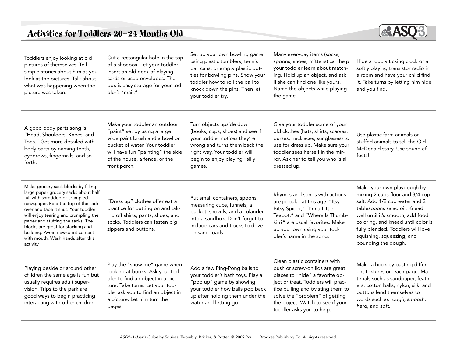### Activities for Toddlers 20—24 Months Old



| Toddlers enjoy looking at old<br>pictures of themselves. Tell<br>simple stories about him as you<br>look at the pictures. Talk about<br>what was happening when the<br>picture was taken.                                                                                                                                                                                                            | Cut a rectangular hole in the top<br>of a shoebox. Let your toddler<br>insert an old deck of playing<br>cards or used envelopes. The<br>box is easy storage for your tod-<br>dler's "mail."                           | Set up your own bowling game<br>using plastic tumblers, tennis<br>ball cans, or empty plastic bot-<br>tles for bowling pins. Show your<br>toddler how to roll the ball to<br>knock down the pins. Then let<br>your toddler try. | Many everyday items (socks,<br>spoons, shoes, mittens) can help<br>your toddler learn about match-<br>ing. Hold up an object, and ask<br>if she can find one like yours.<br>Name the objects while playing<br>the game.                                                           | Hide a loudly ticking clock or a<br>softly playing transistor radio in<br>a room and have your child find<br>it. Take turns by letting him hide<br>and you find.                                                                                                                                  |
|------------------------------------------------------------------------------------------------------------------------------------------------------------------------------------------------------------------------------------------------------------------------------------------------------------------------------------------------------------------------------------------------------|-----------------------------------------------------------------------------------------------------------------------------------------------------------------------------------------------------------------------|---------------------------------------------------------------------------------------------------------------------------------------------------------------------------------------------------------------------------------|-----------------------------------------------------------------------------------------------------------------------------------------------------------------------------------------------------------------------------------------------------------------------------------|---------------------------------------------------------------------------------------------------------------------------------------------------------------------------------------------------------------------------------------------------------------------------------------------------|
| A good body parts song is<br>"Head, Shoulders, Knees, and<br>Toes." Get more detailed with<br>body parts by naming teeth,<br>eyebrows, fingernails, and so<br>forth.                                                                                                                                                                                                                                 | Make your toddler an outdoor<br>"paint" set by using a large<br>wide paint brush and a bowl or<br>bucket of water. Your toddler<br>will have fun "painting" the side<br>of the house, a fence, or the<br>front porch. | Turn objects upside down<br>(books, cups, shoes) and see if<br>your toddler notices they're<br>wrong and turns them back the<br>right way. Your toddler will<br>begin to enjoy playing "silly"<br>games.                        | Give your toddler some of your<br>old clothes (hats, shirts, scarves,<br>purses, necklaces, sunglasses) to<br>use for dress up. Make sure your<br>toddler sees herself in the mir-<br>ror. Ask her to tell you who is all<br>dressed up.                                          | Use plastic farm animals or<br>stuffed animals to tell the Old<br>McDonald story. Use sound ef-<br>fects!                                                                                                                                                                                         |
| Make grocery sack blocks by filling<br>large paper grocery sacks about half<br>full with shredded or crumpled<br>newspaper. Fold the top of the sack<br>over and tape it shut. Your toddler<br>will enjoy tearing and crumpling the<br>paper and stuffing the sacks. The<br>blocks are great for stacking and<br>building. Avoid newsprint contact<br>with mouth. Wash hands after this<br>activity. | "Dress up" clothes offer extra<br>practice for putting on and tak-<br>ing off shirts, pants, shoes, and<br>socks. Toddlers can fasten big<br>zippers and buttons.                                                     | Put small containers, spoons,<br>measuring cups, funnels, a<br>bucket, shovels, and a colander<br>into a sandbox. Don't forget to<br>include cars and trucks to drive<br>on sand roads.                                         | Rhymes and songs with actions<br>are popular at this age. "Itsy-<br>Bitsy Spider," "I'm a Little<br>Teapot," and "Where Is Thumb-<br>kin?" are usual favorites. Make<br>up your own using your tod-<br>dler's name in the song.                                                   | Make your own playdough by<br>mixing 2 cups flour and 3/4 cup<br>salt. Add 1/2 cup water and 2<br>tablespoons salad oil. Knead<br>well until it's smooth; add food<br>coloring, and knead until color is<br>fully blended. Toddlers will love<br>squishing, squeezing, and<br>pounding the dough. |
| Playing beside or around other<br>children the same age is fun but<br>usually requires adult super-<br>vision. Trips to the park are<br>good ways to begin practicing<br>interacting with other children.                                                                                                                                                                                            | Play the "show me" game when<br>looking at books. Ask your tod-<br>dler to find an object in a pic-<br>ture. Take turns. Let your tod-<br>dler ask you to find an object in<br>a picture. Let him turn the<br>pages.  | Add a few Ping-Pong balls to<br>your toddler's bath toys. Play a<br>"pop up" game by showing<br>your toddler how balls pop back<br>up after holding them under the<br>water and letting go.                                     | Clean plastic containers with<br>push or screw-on lids are great<br>places to "hide" a favorite ob-<br>ject or treat. Toddlers will prac-<br>tice pulling and twisting them to<br>solve the "problem" of getting<br>the object. Watch to see if your<br>toddler asks you to help. | Make a book by pasting differ-<br>ent textures on each page. Ma-<br>terials such as sandpaper, feath-<br>ers, cotton balls, nylon, silk, and<br>buttons lend themselves to<br>words such as rough, smooth,<br>hard, and soft.                                                                     |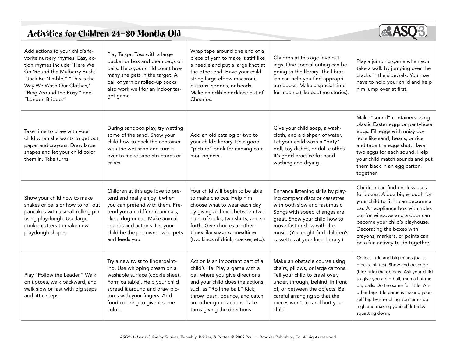# Activities for Children 24—30 Months Old



| Add actions to your child's fa-<br>vorite nursery rhymes. Easy ac-<br>tion rhymes include "Here We<br>Go 'Round the Mulberry Bush,"<br>"Jack Be Nimble," "This Is the<br>Way We Wash Our Clothes,"<br>"Ring Around the Rosy," and<br>"London Bridge." | Play Target Toss with a large<br>bucket or box and bean bags or<br>balls. Help your child count how<br>many she gets in the target. A<br>ball of yarn or rolled-up socks<br>also work well for an indoor tar-<br>get game.                                      | Wrap tape around one end of a<br>piece of yarn to make it stiff like<br>a needle and put a large knot at<br>the other end. Have your child<br>string large elbow macaroni,<br>buttons, spoons, or beads.<br>Make an edible necklace out of<br>Cheerios.                        | Children at this age love out-<br>ings. One special outing can be<br>going to the library. The librar-<br>ian can help you find appropri-<br>ate books. Make a special time<br>for reading (like bedtime stories).                                                             | Play a jumping game when you<br>take a walk by jumping over the<br>cracks in the sidewalk. You may<br>have to hold your child and help<br>him jump over at first.                                                                                                                                                                                     |
|-------------------------------------------------------------------------------------------------------------------------------------------------------------------------------------------------------------------------------------------------------|-----------------------------------------------------------------------------------------------------------------------------------------------------------------------------------------------------------------------------------------------------------------|--------------------------------------------------------------------------------------------------------------------------------------------------------------------------------------------------------------------------------------------------------------------------------|--------------------------------------------------------------------------------------------------------------------------------------------------------------------------------------------------------------------------------------------------------------------------------|-------------------------------------------------------------------------------------------------------------------------------------------------------------------------------------------------------------------------------------------------------------------------------------------------------------------------------------------------------|
| Take time to draw with your<br>child when she wants to get out<br>paper and crayons. Draw large<br>shapes and let your child color<br>them in. Take turns.                                                                                            | During sandbox play, try wetting<br>some of the sand. Show your<br>child how to pack the container<br>with the wet sand and turn it<br>over to make sand structures or<br>cakes.                                                                                | Add an old catalog or two to<br>your child's library. It's a good<br>"picture" book for naming com-<br>mon objects.                                                                                                                                                            | Give your child soap, a wash-<br>cloth, and a dishpan of water.<br>Let your child wash a "dirty"<br>doll, toy dishes, or doll clothes.<br>It's good practice for hand<br>washing and drying.                                                                                   | Make "sound" containers using<br>plastic Easter eggs or pantyhose<br>eggs. Fill eggs with noisy ob-<br>jects like sand, beans, or rice<br>and tape the eggs shut. Have<br>two eggs for each sound. Help<br>your child match sounds and put<br>them back in an egg carton<br>together.                                                                 |
| Show your child how to make<br>snakes or balls or how to roll out<br>pancakes with a small rolling pin<br>using playdough. Use large<br>cookie cutters to make new<br>playdough shapes.                                                               | Children at this age love to pre-<br>tend and really enjoy it when<br>you can pretend with them. Pre-<br>tend you are different animals,<br>like a dog or cat. Make animal<br>sounds and actions. Let your<br>child be the pet owner who pets<br>and feeds you. | Your child will begin to be able<br>to make choices. Help him<br>choose what to wear each day<br>by giving a choice between two<br>pairs of socks, two shirts, and so<br>forth. Give choices at other<br>times like snack or mealtime<br>(two kinds of drink, cracker, etc.).  | Enhance listening skills by play-<br>ing compact discs or cassettes<br>with both slow and fast music.<br>Songs with speed changes are<br>great. Show your child how to<br>move fast or slow with the<br>music. (You might find children's<br>cassettes at your local library.) | Children can find endless uses<br>for boxes. A box big enough for<br>your child to fit in can become a<br>car. An appliance box with holes<br>cut for windows and a door can<br>become your child's playhouse.<br>Decorating the boxes with<br>crayons, markers, or paints can<br>be a fun activity to do together.                                   |
| Play "Follow the Leader." Walk<br>on tiptoes, walk backward, and<br>walk slow or fast with big steps<br>and little steps.                                                                                                                             | Try a new twist to fingerpaint-<br>ing. Use whipping cream on a<br>washable surface (cookie sheet,<br>Formica table). Help your child<br>spread it around and draw pic-<br>tures with your fingers. Add<br>food coloring to give it some<br>color.              | Action is an important part of a<br>child's life. Play a game with a<br>ball where you give directions<br>and your child does the actions,<br>such as "Roll the ball." Kick,<br>throw, push, bounce, and catch<br>are other good actions. Take<br>turns giving the directions. | Make an obstacle course using<br>chairs, pillows, or large cartons.<br>Tell your child to crawl over,<br>under, through, behind, in front<br>of, or between the objects. Be<br>careful arranging so that the<br>pieces won't tip and hurt your<br>child.                       | Collect little and big things (balls,<br>blocks, plates). Show and describe<br>(big/little) the objects. Ask your child<br>to give you a big ball, then all of the<br>big balls. Do the same for little. An-<br>other big/little game is making your-<br>self big by stretching your arms up<br>high and making yourself little by<br>squatting down. |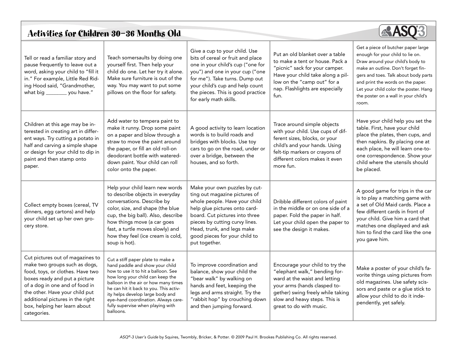# Activities for Children 30—36 Months Old



| Tell or read a familiar story and<br>pause frequently to leave out a<br>word, asking your child to "fill it<br>in." For example, Little Red Rid-<br>ing Hood said, "Grandmother,<br>what big _________ you have."                                                                             | Teach somersaults by doing one<br>yourself first. Then help your<br>child do one. Let her try it alone.<br>Make sure furniture is out of the<br>way. You may want to put some<br>pillows on the floor for safety.                                                                                                                                              | Give a cup to your child. Use<br>bits of cereal or fruit and place<br>one in your child's cup ("one for<br>you") and one in your cup ("one<br>for me"). Take turns. Dump out<br>your child's cup and help count<br>the pieces. This is good practice<br>for early math skills.       | Put an old blanket over a table<br>to make a tent or house. Pack a<br>"picnic" sack for your camper.<br>Have your child take along a pil-<br>low on the "camp out" for a<br>nap. Flashlights are especially<br>fun.                | Get a piece of butcher paper large<br>enough for your child to lie on.<br>Draw around your child's body to<br>make an outline. Don't forget fin-<br>gers and toes. Talk about body parts<br>and print the words on the paper.<br>Let your child color the poster. Hang<br>the poster on a wall in your child's<br>room. |
|-----------------------------------------------------------------------------------------------------------------------------------------------------------------------------------------------------------------------------------------------------------------------------------------------|----------------------------------------------------------------------------------------------------------------------------------------------------------------------------------------------------------------------------------------------------------------------------------------------------------------------------------------------------------------|--------------------------------------------------------------------------------------------------------------------------------------------------------------------------------------------------------------------------------------------------------------------------------------|------------------------------------------------------------------------------------------------------------------------------------------------------------------------------------------------------------------------------------|-------------------------------------------------------------------------------------------------------------------------------------------------------------------------------------------------------------------------------------------------------------------------------------------------------------------------|
| Children at this age may be in-<br>terested in creating art in differ-<br>ent ways. Try cutting a potato in<br>half and carving a simple shape<br>or design for your child to dip in<br>paint and then stamp onto<br>paper.                                                                   | Add water to tempera paint to<br>make it runny. Drop some paint<br>on a paper and blow through a<br>straw to move the paint around<br>the paper, or fill an old roll-on<br>deodorant bottle with watered-<br>down paint. Your child can roll<br>color onto the paper.                                                                                          | A good activity to learn location<br>words is to build roads and<br>bridges with blocks. Use toy<br>cars to go on the road, under or<br>over a bridge, between the<br>houses, and so forth.                                                                                          | Trace around simple objects<br>with your child. Use cups of dif-<br>ferent sizes, blocks, or your<br>child's and your hands. Using<br>felt-tip markers or crayons of<br>different colors makes it even<br>more fun.                | Have your child help you set the<br>table. First, have your child<br>place the plates, then cups, and<br>then napkins. By placing one at<br>each place, he will learn one-to-<br>one correspondence. Show your<br>child where the utensils should<br>be placed.                                                         |
| Collect empty boxes (cereal, TV<br>dinners, egg cartons) and help<br>your child set up her own gro-<br>cery store.                                                                                                                                                                            | Help your child learn new words<br>to describe objects in everyday<br>conversations. Describe by<br>color, size, and shape (the blue<br>cup, the big ball). Also, describe<br>how things move (a car goes<br>fast, a turtle moves slowly) and<br>how they feel (ice cream is cold,<br>soup is hot).                                                            | Make your own puzzles by cut-<br>ting out magazine pictures of<br>whole people. Have your child<br>help glue pictures onto card-<br>board. Cut pictures into three<br>pieces by cutting curvy lines.<br>Head, trunk, and legs make<br>good pieces for your child to<br>put together. | Dribble different colors of paint<br>in the middle or on one side of a<br>paper. Fold the paper in half.<br>Let your child open the paper to<br>see the design it makes.                                                           | A good game for trips in the car<br>is to play a matching game with<br>a set of Old Maid cards. Place a<br>few different cards in front of<br>your child. Give him a card that<br>matches one displayed and ask<br>him to find the card like the one<br>you gave him.                                                   |
| Cut pictures out of magazines to<br>make two groups such as dogs,<br>food, toys, or clothes. Have two<br>boxes ready and put a picture<br>of a dog in one and of food in<br>the other. Have your child put<br>additional pictures in the right<br>box, helping her learn about<br>categories. | Cut a stiff paper plate to make a<br>hand paddle and show your child<br>how to use it to hit a balloon. See<br>how long your child can keep the<br>balloon in the air or how many times<br>he can hit it back to you. This activ-<br>ity helps develop large body and<br>eye-hand coordination. Always care-<br>fully supervise when playing with<br>balloons. | To improve coordination and<br>balance, show your child the<br>"bear walk" by walking on<br>hands and feet, keeping the<br>legs and arms straight. Try the<br>"rabbit hop" by crouching down<br>and then jumping forward.                                                            | Encourage your child to try the<br>"elephant walk," bending for-<br>ward at the waist and letting<br>your arms (hands clasped to-<br>gether) swing freely while taking<br>slow and heavy steps. This is<br>great to do with music. | Make a poster of your child's fa-<br>vorite things using pictures from<br>old magazines. Use safety scis-<br>sors and paste or a glue stick to<br>allow your child to do it inde-<br>pendently, yet safely.                                                                                                             |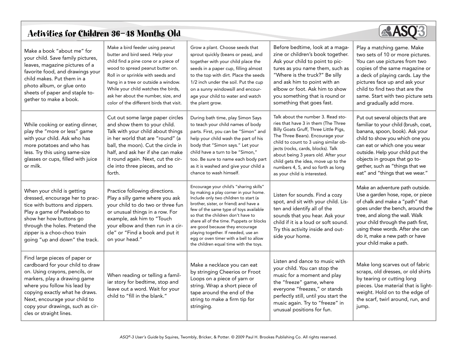# Activities for Children 36—48 Months Old



| Make a book "about me" for<br>your child. Save family pictures,<br>leaves, magazine pictures of a<br>favorite food, and drawings your<br>child makes. Put them in a<br>photo album, or glue onto<br>sheets of paper and staple to-<br>gether to make a book.                                          | Make a bird feeder using peanut<br>butter and bird seed. Help your<br>child find a pine cone or a piece of<br>wood to spread peanut butter on.<br>Roll in or sprinkle with seeds and<br>hang in a tree or outside a window.<br>While your child watches the birds,<br>ask her about the number, size, and<br>color of the different birds that visit. | Grow a plant. Choose seeds that<br>sprout quickly (beans or peas), and<br>together with your child place the<br>seeds in a paper cup, filling almost<br>to the top with dirt. Place the seeds<br>1/2 inch under the soil. Put the cup<br>on a sunny windowsill and encour-<br>age your child to water and watch<br>the plant grow.                                                                                                                            | Before bedtime, look at a maga-<br>zine or children's book together.<br>Ask your child to point to pic-<br>tures as you name them, such as<br>"Where is the truck?" Be silly<br>and ask him to point with an<br>elbow or foot. Ask him to show<br>you something that is round or<br>something that goes fast.                                                                             | Play a matching game. Make<br>two sets of 10 or more pictures.<br>You can use pictures from two<br>copies of the same magazine or<br>a deck of playing cards. Lay the<br>pictures face up and ask your<br>child to find two that are the<br>same. Start with two picture sets<br>and gradually add more.                  |
|-------------------------------------------------------------------------------------------------------------------------------------------------------------------------------------------------------------------------------------------------------------------------------------------------------|-------------------------------------------------------------------------------------------------------------------------------------------------------------------------------------------------------------------------------------------------------------------------------------------------------------------------------------------------------|---------------------------------------------------------------------------------------------------------------------------------------------------------------------------------------------------------------------------------------------------------------------------------------------------------------------------------------------------------------------------------------------------------------------------------------------------------------|-------------------------------------------------------------------------------------------------------------------------------------------------------------------------------------------------------------------------------------------------------------------------------------------------------------------------------------------------------------------------------------------|---------------------------------------------------------------------------------------------------------------------------------------------------------------------------------------------------------------------------------------------------------------------------------------------------------------------------|
| While cooking or eating dinner,<br>play the "more or less" game<br>with your child. Ask who has<br>more potatoes and who has<br>less. Try this using same-size<br>glasses or cups, filled with juice<br>or milk.                                                                                      | Cut out some large paper circles<br>and show them to your child.<br>Talk with your child about things<br>in her world that are "round" (a<br>ball, the moon). Cut the circle in<br>half, and ask her if she can make<br>it round again. Next, cut the cir-<br>cle into three pieces, and so<br>forth.                                                 | During bath time, play Simon Says<br>to teach your child names of body<br>parts. First, you can be "Simon" and<br>help your child wash the part of his<br>body that "Simon says." Let your<br>child have a turn to be "Simon."<br>too. Be sure to name each body part<br>as it is washed and give your child a<br>chance to wash himself.                                                                                                                     | Talk about the number 3. Read sto-<br>ries that have 3 in them (The Three<br>Billy Goats Gruff, Three Little Pigs,<br>The Three Bears). Encourage your<br>child to count to 3 using similar ob-<br>jects (rocks, cards, blocks). Talk<br>about being 3 years old. After your<br>child gets the idea, move up to the<br>numbers 4, 5, and so forth as long<br>as your child is interested. | Put out several objects that are<br>familiar to your child (brush, coat,<br>banana, spoon, book). Ask your<br>child to show you which one you<br>can eat or which one you wear<br>outside. Help your child put the<br>objects in groups that go to-<br>gether, such as "things that we<br>eat" and "things that we wear." |
| When your child is getting<br>dressed, encourage her to prac-<br>tice with buttons and zippers.<br>Play a game of Peekaboo to<br>show her how buttons go<br>through the holes. Pretend the<br>zipper is a choo-choo train<br>going "up and down" the track.                                           | Practice following directions.<br>Play a silly game where you ask<br>your child to do two or three fun<br>or unusual things in a row. For<br>example, ask him to "Touch<br>your elbow and then run in a cir-<br>cle" or "Find a book and put it<br>on your head."                                                                                     | Encourage your child's "sharing skills"<br>by making a play corner in your home.<br>Include only two children to start (a<br>brother, sister, or friend) and have a<br>few of the same type of toys available<br>so that the children don't have to<br>share all of the time. Puppets or blocks<br>are good because they encourage<br>playing together. If needed, use an<br>egg or oven timer with a bell to allow<br>the children equal time with the toys. | Listen for sounds. Find a cozy<br>spot, and sit with your child. Lis-<br>ten and identify all of the<br>sounds that you hear. Ask your<br>child if it is a loud or soft sound.<br>Try this activity inside and out-<br>side your home.                                                                                                                                                    | Make an adventure path outside.<br>Use a garden hose, rope, or piece<br>of chalk and make a "path" that<br>goes under the bench, around the<br>tree, and along the wall. Walk<br>your child through the path first,<br>using these words. After she can<br>do it, make a new path or have<br>your child make a path.      |
| Find large pieces of paper or<br>cardboard for your child to draw<br>on. Using crayons, pencils, or<br>markers, play a drawing game<br>where you follow his lead by<br>copying exactly what he draws.<br>Next, encourage your child to<br>copy your drawings, such as cir-<br>cles or straight lines. | When reading or telling a famil-<br>iar story for bedtime, stop and<br>leave out a word. Wait for your<br>child to "fill in the blank."                                                                                                                                                                                                               | Make a necklace you can eat<br>by stringing Cheerios or Froot<br>Loops on a piece of yarn or<br>string. Wrap a short piece of<br>tape around the end of the<br>string to make a firm tip for<br>stringing.                                                                                                                                                                                                                                                    | Listen and dance to music with<br>your child. You can stop the<br>music for a moment and play<br>the "freeze" game, where<br>everyone "freezes," or stands<br>perfectly still, until you start the<br>music again. Try to "freeze" in<br>unusual positions for fun.                                                                                                                       | Make long scarves out of fabric<br>scraps, old dresses, or old shirts<br>by tearing or cutting long<br>pieces. Use material that is light-<br>weight. Hold on to the edge of<br>the scarf, twirl around, run, and<br>jump.                                                                                                |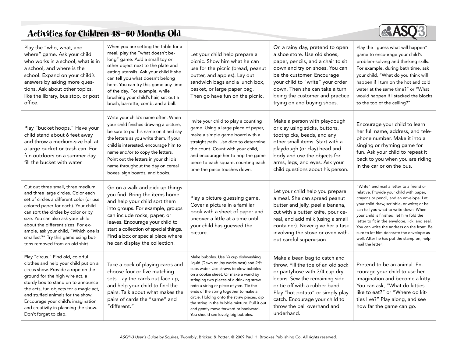# Activities for Children 48—60 Months Old



| Play the "who, what, and<br>where" game. Ask your child<br>who works in a school, what is in<br>a school, and where is the<br>school. Expand on your child's<br>answers by asking more ques-<br>tions. Ask about other topics,<br>like the library, bus stop, or post<br>office.                                                                                                                 | When you are setting the table for a<br>meal, play the "what doesn't be-<br>long" game. Add a small toy or<br>other object next to the plate and<br>eating utensils. Ask your child if she<br>can tell you what doesn't belong<br>here. You can try this game any time<br>of the day. For example, while<br>brushing your child's hair, set out a<br>brush, barrette, comb, and a ball. | Let your child help prepare a<br>picnic. Show him what he can<br>use for the picnic (bread, peanut<br>butter, and apples). Lay out<br>sandwich bags and a lunch box,<br>basket, or large paper bag.<br>Then go have fun on the picnic.                                                                                                                                                                                                                                                                     | On a rainy day, pretend to open<br>a shoe store. Use old shoes,<br>paper, pencils, and a chair to sit<br>down and try on shoes. You can<br>be the customer. Encourage<br>your child to "write" your order<br>down. Then she can take a turn<br>being the customer and practice<br>trying on and buying shoes. | Play the "guess what will happen"<br>game to encourage your child's<br>problem-solving and thinking skills.<br>For example, during bath time, ask<br>your child, "What do you think will<br>happen if I turn on the hot and cold<br>water at the same time?" or "What<br>would happen if I stacked the blocks<br>to the top of the ceiling?"                                                                                                                                    |
|--------------------------------------------------------------------------------------------------------------------------------------------------------------------------------------------------------------------------------------------------------------------------------------------------------------------------------------------------------------------------------------------------|-----------------------------------------------------------------------------------------------------------------------------------------------------------------------------------------------------------------------------------------------------------------------------------------------------------------------------------------------------------------------------------------|------------------------------------------------------------------------------------------------------------------------------------------------------------------------------------------------------------------------------------------------------------------------------------------------------------------------------------------------------------------------------------------------------------------------------------------------------------------------------------------------------------|---------------------------------------------------------------------------------------------------------------------------------------------------------------------------------------------------------------------------------------------------------------------------------------------------------------|---------------------------------------------------------------------------------------------------------------------------------------------------------------------------------------------------------------------------------------------------------------------------------------------------------------------------------------------------------------------------------------------------------------------------------------------------------------------------------|
| Play "bucket hoops." Have your<br>child stand about 6 feet away<br>and throw a medium-size ball at<br>a large bucket or trash can. For<br>fun outdoors on a summer day,<br>fill the bucket with water.                                                                                                                                                                                           | Write your child's name often. When<br>your child finishes drawing a picture,<br>be sure to put his name on it and say<br>the letters as you write them. If your<br>child is interested, encourage him to<br>name and/or to copy the letters.<br>Point out the letters in your child's<br>name throughout the day on cereal<br>boxes, sign boards, and books.                           | Invite your child to play a counting<br>game. Using a large piece of paper,<br>make a simple game board with a<br>straight path. Use dice to determine<br>the count. Count with your child,<br>and encourage her to hop the game<br>piece to each square, counting each<br>time the piece touches down.                                                                                                                                                                                                    | Make a person with playdough<br>or clay using sticks, buttons,<br>toothpicks, beads, and any<br>other small items. Start with a<br>playdough (or clay) head and<br>body and use the objects for<br>arms, legs, and eyes. Ask your<br>child questions about his person.                                        | Encourage your child to learn<br>her full name, address, and tele-<br>phone number. Make it into a<br>singing or rhyming game for<br>fun. Ask your child to repeat it<br>back to you when you are riding<br>in the car or on the bus.                                                                                                                                                                                                                                           |
| Cut out three small, three medium,<br>and three large circles. Color each<br>set of circles a different color (or use<br>colored paper for each). Your child<br>can sort the circles by color or by<br>size. You can also ask your child<br>about the different sizes. For ex-<br>ample, ask your child, "Which one is<br>smallest?" Try this game using but-<br>tons removed from an old shirt. | Go on a walk and pick up things<br>you find. Bring the items home<br>and help your child sort them<br>into groups. For example, groups<br>can include rocks, paper, or<br>leaves. Encourage your child to<br>start a collection of special things.<br>Find a box or special place where<br>he can display the collection.                                                               | Play a picture guessing game.<br>Cover a picture in a familiar<br>book with a sheet of paper and<br>uncover a little at a time until<br>your child has guessed the<br>picture.                                                                                                                                                                                                                                                                                                                             | Let your child help you prepare<br>a meal. She can spread peanut<br>butter and jelly, peel a banana,<br>cut with a butter knife, pour ce-<br>real, and add milk (using a small<br>container). Never give her a task<br>involving the stove or oven with-<br>out careful supervision.                          | "Write" and mail a letter to a friend or<br>relative. Provide your child with paper,<br>crayons or pencil, and an envelope. Let<br>your child draw, scribble, or write; or he<br>can tell you what to write down. When<br>your child is finished, let him fold the<br>letter to fit in the envelope, lick, and seal.<br>You can write the address on the front. Be<br>sure to let him decorate the envelope as<br>well. After he has put the stamp on, help<br>mail the letter. |
| Play "circus." Find old, colorful<br>clothes and help your child put on a<br>circus show. Provide a rope on the<br>ground for the high wire act, a<br>sturdy box to stand on to announce<br>the acts, fun objects for a magic act,<br>and stuffed animals for the show.<br>Encourage your child's imagination<br>and creativity in planning the show.<br>Don't forget to clap.                   | Take a pack of playing cards and<br>choose four or five matching<br>sets. Lay the cards out face up,<br>and help your child to find the<br>pairs. Talk about what makes the<br>pairs of cards the "same" and<br>"different."                                                                                                                                                            | Make bubbles. Use 1/4 cup dishwashing<br>liquid (Dawn or Joy works best) and 2 <sup>2</sup> / <sub>3</sub><br>cups water. Use straws to blow bubbles<br>on a cookie sheet. Or make a wand by<br>stringing two pieces of a drinking straw<br>onto a string or piece of yarn. Tie the<br>ends of the string together to make a<br>circle. Holding onto the straw pieces, dip<br>the string in the bubble mixture. Pull it out<br>and gently move forward or backward.<br>You should see lovely, big bubbles. | Make a bean bag to catch and<br>throw. Fill the toe of an old sock<br>or pantyhose with 3/4 cup dry<br>beans. Sew the remaining side<br>or tie off with a rubber band.<br>Play "hot potato" or simply play<br>catch. Encourage your child to<br>throw the ball overhand and<br>underhand.                     | Pretend to be an animal. En-<br>courage your child to use her<br>imagination and become a kitty.<br>You can ask, "What do kitties<br>like to eat?" or "Where do kit-<br>ties live?" Play along, and see<br>how far the game can go.                                                                                                                                                                                                                                             |